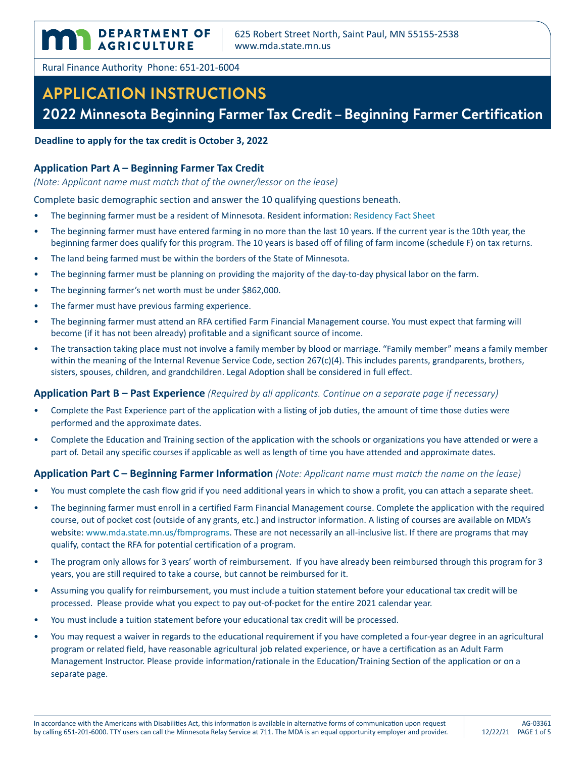**DEPARTMENT OF** DEPARTMENT

Rural Finance Authority Phone: 651-201-6004

# **APPLICATION INSTRUCTIONS**

### **2022 Minnesota Beginning Farmer Tax Credit – Beginning Farmer Certification**

**Deadline to apply for the tax credit is October 3, 2022**

#### **Application Part A – Beginning Farmer Tax Credit**

*(Note: Applicant name must match that of the owner/lessor on the lease)*

Complete basic demographic section and answer the 10 qualifying questions beneath.

- The beginning farmer must be a resident of Minnesota. Resident information: [Residency Fact Sheet](http://www.revenue.state.mn.us/individuals/individ_income/factsheets/fact_sheets_fs1.pdf)
- The beginning farmer must have entered farming in no more than the last 10 years. If the current year is the 10th year, the beginning farmer does qualify for this program. The 10 years is based off of filing of farm income (schedule F) on tax returns.
- The land being farmed must be within the borders of the State of Minnesota.
- The beginning farmer must be planning on providing the majority of the day-to-day physical labor on the farm.
- The beginning farmer's net worth must be under \$862,000.
- The farmer must have previous farming experience.
- The beginning farmer must attend an RFA certified Farm Financial Management course. You must expect that farming will become (if it has not been already) profitable and a significant source of income.
- The transaction taking place must not involve a family member by blood or marriage. "Family member" means a family member within the meaning of the Internal Revenue Service Code, section 267(c)(4). This includes parents, grandparents, brothers, sisters, spouses, children, and grandchildren. Legal Adoption shall be considered in full effect.

#### **Application Part B – Past Experience** *(Required by all applicants. Continue on a separate page if necessary)*

- Complete the Past Experience part of the application with a listing of job duties, the amount of time those duties were performed and the approximate dates.
- Complete the Education and Training section of the application with the schools or organizations you have attended or were a part of. Detail any specific courses if applicable as well as length of time you have attended and approximate dates.

#### **Application Part C – Beginning Farmer Information** *(Note: Applicant name must match the name on the lease)*

- You must complete the cash flow grid if you need additional years in which to show a profit, you can attach a separate sheet.
- The beginning farmer must enroll in a certified Farm Financial Management course. Complete the application with the required course, out of pocket cost (outside of any grants, etc.) and instructor information. A listing of courses are available on MDA's website: [www.mda.state.mn.us/fbmprograms.](https://www.mda.state.mn.us/fbmprograms) These are not necessarily an all-inclusive list. If there are programs that may qualify, contact the RFA for potential certification of a program.
- The program only allows for 3 years' worth of reimbursement. If you have already been reimbursed through this program for 3 years, you are still required to take a course, but cannot be reimbursed for it.
- Assuming you qualify for reimbursement, you must include a tuition statement before your educational tax credit will be processed. Please provide what you expect to pay out-of-pocket for the entire 2021 calendar year.
- You must include a tuition statement before your educational tax credit will be processed.
- You may request a waiver in regards to the educational requirement if you have completed a four-year degree in an agricultural program or related field, have reasonable agricultural job related experience, or have a certification as an Adult Farm Management Instructor. Please provide information/rationale in the Education/Training Section of the application or on a separate page.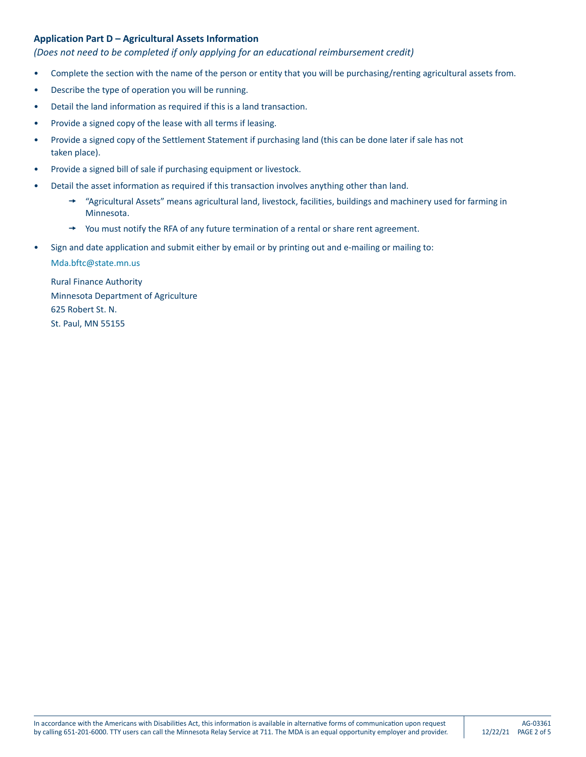#### **Application Part D – Agricultural Assets Information**

#### *(Does not need to be completed if only applying for an educational reimbursement credit)*

- Complete the section with the name of the person or entity that you will be purchasing/renting agricultural assets from.
- Describe the type of operation you will be running.
- Detail the land information as required if this is a land transaction.
- Provide a signed copy of the lease with all terms if leasing.
- Provide a signed copy of the Settlement Statement if purchasing land (this can be done later if sale has not taken place).
- Provide a signed bill of sale if purchasing equipment or livestock.
- Detail the asset information as required if this transaction involves anything other than land.
	- $\rightarrow$  "Agricultural Assets" means agricultural land, livestock, facilities, buildings and machinery used for farming in Minnesota.
	- $\rightarrow$  You must notify the RFA of any future termination of a rental or share rent agreement.
- Sign and date application and submit either by email or by printing out and e-mailing or mailing to:

<Mda.bftc@state.mn.us>

Rural Finance Authority Minnesota Department of Agriculture 625 Robert St. N. St. Paul, MN 55155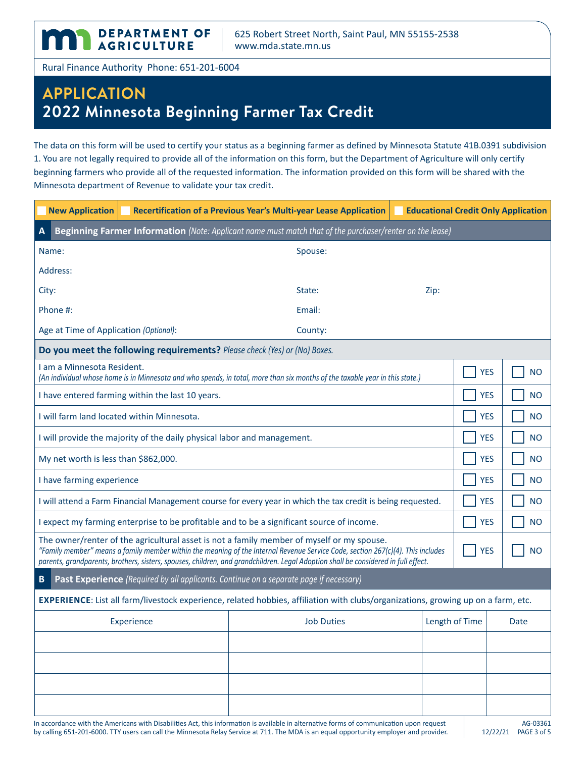**DEPARTMENT OF** AGRICULTURE

Rural Finance Authority Phone: 651-201-6004

**Inn** 

## **APPLICATION 2022 Minnesota Beginning Farmer Tax Credit**

The data on this form will be used to certify your status as a beginning farmer as defined by Minnesota Statute 41B.0391 subdivision 1. You are not legally required to provide all of the information on this form, but the Department of Agriculture will only certify beginning farmers who provide all of the requested information. The information provided on this form will be shared with the Minnesota department of Revenue to validate your tax credit.

| <b>New Application</b>                                                                                                                                                                                                                                                                                                                                             |            | Recertification of a Previous Year's Multi-year Lease Application   Educational Credit Only Application |                |            |             |  |  |  |
|--------------------------------------------------------------------------------------------------------------------------------------------------------------------------------------------------------------------------------------------------------------------------------------------------------------------------------------------------------------------|------------|---------------------------------------------------------------------------------------------------------|----------------|------------|-------------|--|--|--|
| Beginning Farmer Information (Note: Applicant name must match that of the purchaser/renter on the lease)<br>$\mathbf{A}$                                                                                                                                                                                                                                           |            |                                                                                                         |                |            |             |  |  |  |
| Name:                                                                                                                                                                                                                                                                                                                                                              |            | Spouse:                                                                                                 |                |            |             |  |  |  |
| Address:                                                                                                                                                                                                                                                                                                                                                           |            |                                                                                                         |                |            |             |  |  |  |
| City:                                                                                                                                                                                                                                                                                                                                                              |            | State:                                                                                                  | Zip:           |            |             |  |  |  |
| Phone #:                                                                                                                                                                                                                                                                                                                                                           |            | Email:                                                                                                  |                |            |             |  |  |  |
| Age at Time of Application (Optional):                                                                                                                                                                                                                                                                                                                             |            | County:                                                                                                 |                |            |             |  |  |  |
| Do you meet the following requirements? Please check (Yes) or (No) Boxes.                                                                                                                                                                                                                                                                                          |            |                                                                                                         |                |            |             |  |  |  |
| I am a Minnesota Resident.<br>(An individual whose home is in Minnesota and who spends, in total, more than six months of the taxable year in this state.)                                                                                                                                                                                                         | <b>YES</b> | <b>NO</b>                                                                                               |                |            |             |  |  |  |
| I have entered farming within the last 10 years.                                                                                                                                                                                                                                                                                                                   |            |                                                                                                         |                |            | <b>NO</b>   |  |  |  |
| I will farm land located within Minnesota.                                                                                                                                                                                                                                                                                                                         | <b>YES</b> | <b>NO</b>                                                                                               |                |            |             |  |  |  |
| I will provide the majority of the daily physical labor and management.                                                                                                                                                                                                                                                                                            |            |                                                                                                         |                |            | <b>NO</b>   |  |  |  |
| My net worth is less than \$862,000.                                                                                                                                                                                                                                                                                                                               |            |                                                                                                         |                |            | <b>NO</b>   |  |  |  |
| I have farming experience                                                                                                                                                                                                                                                                                                                                          |            |                                                                                                         |                |            | <b>NO</b>   |  |  |  |
| I will attend a Farm Financial Management course for every year in which the tax credit is being requested.                                                                                                                                                                                                                                                        |            |                                                                                                         |                |            | <b>NO</b>   |  |  |  |
| I expect my farming enterprise to be profitable and to be a significant source of income.                                                                                                                                                                                                                                                                          |            |                                                                                                         |                |            | <b>NO</b>   |  |  |  |
| The owner/renter of the agricultural asset is not a family member of myself or my spouse.<br>"Family member" means a family member within the meaning of the Internal Revenue Service Code, section 267(c)(4). This includes<br>parents, grandparents, brothers, sisters, spouses, children, and grandchildren. Legal Adoption shall be considered in full effect. |            |                                                                                                         |                | <b>YES</b> | <b>NO</b>   |  |  |  |
| $\, {\bf B}$<br><b>Past Experience</b> (Required by all applicants. Continue on a separate page if necessary)                                                                                                                                                                                                                                                      |            |                                                                                                         |                |            |             |  |  |  |
| EXPERIENCE: List all farm/livestock experience, related hobbies, affiliation with clubs/organizations, growing up on a farm, etc.                                                                                                                                                                                                                                  |            |                                                                                                         |                |            |             |  |  |  |
|                                                                                                                                                                                                                                                                                                                                                                    | Experience | <b>Job Duties</b>                                                                                       | Length of Time |            | <b>Date</b> |  |  |  |
|                                                                                                                                                                                                                                                                                                                                                                    |            |                                                                                                         |                |            |             |  |  |  |
|                                                                                                                                                                                                                                                                                                                                                                    |            |                                                                                                         |                |            |             |  |  |  |
|                                                                                                                                                                                                                                                                                                                                                                    |            |                                                                                                         |                |            |             |  |  |  |
|                                                                                                                                                                                                                                                                                                                                                                    |            |                                                                                                         |                |            |             |  |  |  |
| In accordance with the Americans with Disabilities Act, this information is available in alternative forms of communication upon request<br>AG-03361                                                                                                                                                                                                               |            |                                                                                                         |                |            |             |  |  |  |

by calling 651-201-6000. TTY users can call the Minnesota Relay Service at 711. The MDA is an equal opportunity employer and provider.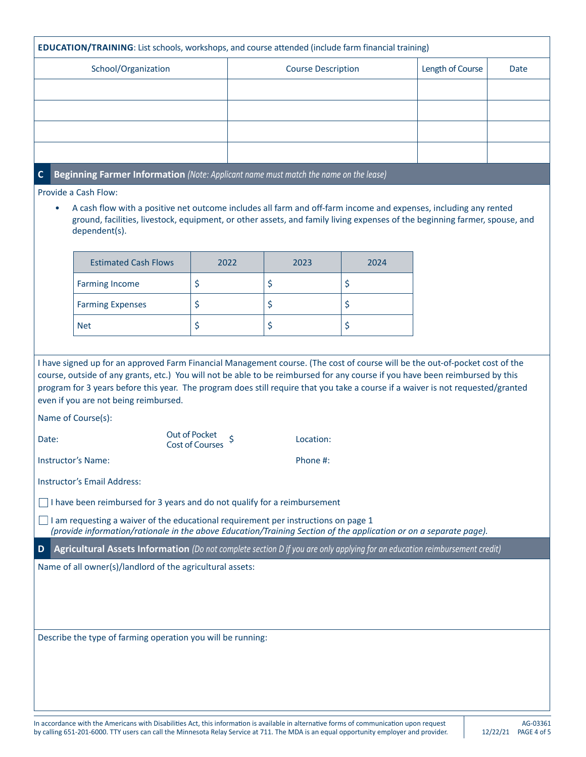| <b>EDUCATION/TRAINING:</b> List schools, workshops, and course attended (include farm financial training)                                                                                                                                                                                                                                                                                                                                                                                                                                                                                                                                                                                                                                                                                                                                                                                                |                                                                                      |      |                           |      |                  |      |  |
|----------------------------------------------------------------------------------------------------------------------------------------------------------------------------------------------------------------------------------------------------------------------------------------------------------------------------------------------------------------------------------------------------------------------------------------------------------------------------------------------------------------------------------------------------------------------------------------------------------------------------------------------------------------------------------------------------------------------------------------------------------------------------------------------------------------------------------------------------------------------------------------------------------|--------------------------------------------------------------------------------------|------|---------------------------|------|------------------|------|--|
| School/Organization                                                                                                                                                                                                                                                                                                                                                                                                                                                                                                                                                                                                                                                                                                                                                                                                                                                                                      |                                                                                      |      | <b>Course Description</b> |      | Length of Course | Date |  |
|                                                                                                                                                                                                                                                                                                                                                                                                                                                                                                                                                                                                                                                                                                                                                                                                                                                                                                          |                                                                                      |      |                           |      |                  |      |  |
|                                                                                                                                                                                                                                                                                                                                                                                                                                                                                                                                                                                                                                                                                                                                                                                                                                                                                                          |                                                                                      |      |                           |      |                  |      |  |
|                                                                                                                                                                                                                                                                                                                                                                                                                                                                                                                                                                                                                                                                                                                                                                                                                                                                                                          |                                                                                      |      |                           |      |                  |      |  |
|                                                                                                                                                                                                                                                                                                                                                                                                                                                                                                                                                                                                                                                                                                                                                                                                                                                                                                          |                                                                                      |      |                           |      |                  |      |  |
| $\mathbf{C}$                                                                                                                                                                                                                                                                                                                                                                                                                                                                                                                                                                                                                                                                                                                                                                                                                                                                                             | Beginning Farmer Information (Note: Applicant name must match the name on the lease) |      |                           |      |                  |      |  |
| Provide a Cash Flow:<br>A cash flow with a positive net outcome includes all farm and off-farm income and expenses, including any rented<br>$\bullet$<br>ground, facilities, livestock, equipment, or other assets, and family living expenses of the beginning farmer, spouse, and<br>dependent(s).                                                                                                                                                                                                                                                                                                                                                                                                                                                                                                                                                                                                     |                                                                                      |      |                           |      |                  |      |  |
|                                                                                                                                                                                                                                                                                                                                                                                                                                                                                                                                                                                                                                                                                                                                                                                                                                                                                                          | <b>Estimated Cash Flows</b>                                                          | 2022 | 2023                      | 2024 |                  |      |  |
|                                                                                                                                                                                                                                                                                                                                                                                                                                                                                                                                                                                                                                                                                                                                                                                                                                                                                                          | <b>Farming Income</b>                                                                | \$   | \$                        | \$   |                  |      |  |
|                                                                                                                                                                                                                                                                                                                                                                                                                                                                                                                                                                                                                                                                                                                                                                                                                                                                                                          | <b>Farming Expenses</b>                                                              | \$   | \$                        | \$   |                  |      |  |
|                                                                                                                                                                                                                                                                                                                                                                                                                                                                                                                                                                                                                                                                                                                                                                                                                                                                                                          | <b>Net</b>                                                                           | \$   | \$                        | \$   |                  |      |  |
| I have signed up for an approved Farm Financial Management course. (The cost of course will be the out-of-pocket cost of the<br>course, outside of any grants, etc.) You will not be able to be reimbursed for any course if you have been reimbursed by this<br>program for 3 years before this year. The program does still require that you take a course if a waiver is not requested/granted<br>even if you are not being reimbursed.<br>Name of Course(s):<br>Out of Pocket<br>Location:<br>Date:<br><b>Cost of Courses</b><br>Instructor's Name:<br>Phone #:<br><b>Instructor's Email Address:</b><br>$\Box$ I have been reimbursed for 3 years and do not qualify for a reimbursement<br>I am requesting a waiver of the educational requirement per instructions on page 1<br>(provide information/rationale in the above Education/Training Section of the application or on a separate page). |                                                                                      |      |                           |      |                  |      |  |
| Agricultural Assets Information (Do not complete section D if you are only applying for an education reimbursement credit)<br>D<br>Name of all owner(s)/landlord of the agricultural assets:                                                                                                                                                                                                                                                                                                                                                                                                                                                                                                                                                                                                                                                                                                             |                                                                                      |      |                           |      |                  |      |  |
| Describe the type of farming operation you will be running:                                                                                                                                                                                                                                                                                                                                                                                                                                                                                                                                                                                                                                                                                                                                                                                                                                              |                                                                                      |      |                           |      |                  |      |  |
|                                                                                                                                                                                                                                                                                                                                                                                                                                                                                                                                                                                                                                                                                                                                                                                                                                                                                                          |                                                                                      |      |                           |      |                  |      |  |

In accordance with the Americans with Disabilities Act, this information is available in alternative forms of communication upon request by calling 651-201-6000. TTY users can call the Minnesota Relay Service at 711. The MDA is an equal opportunity employer and provider.